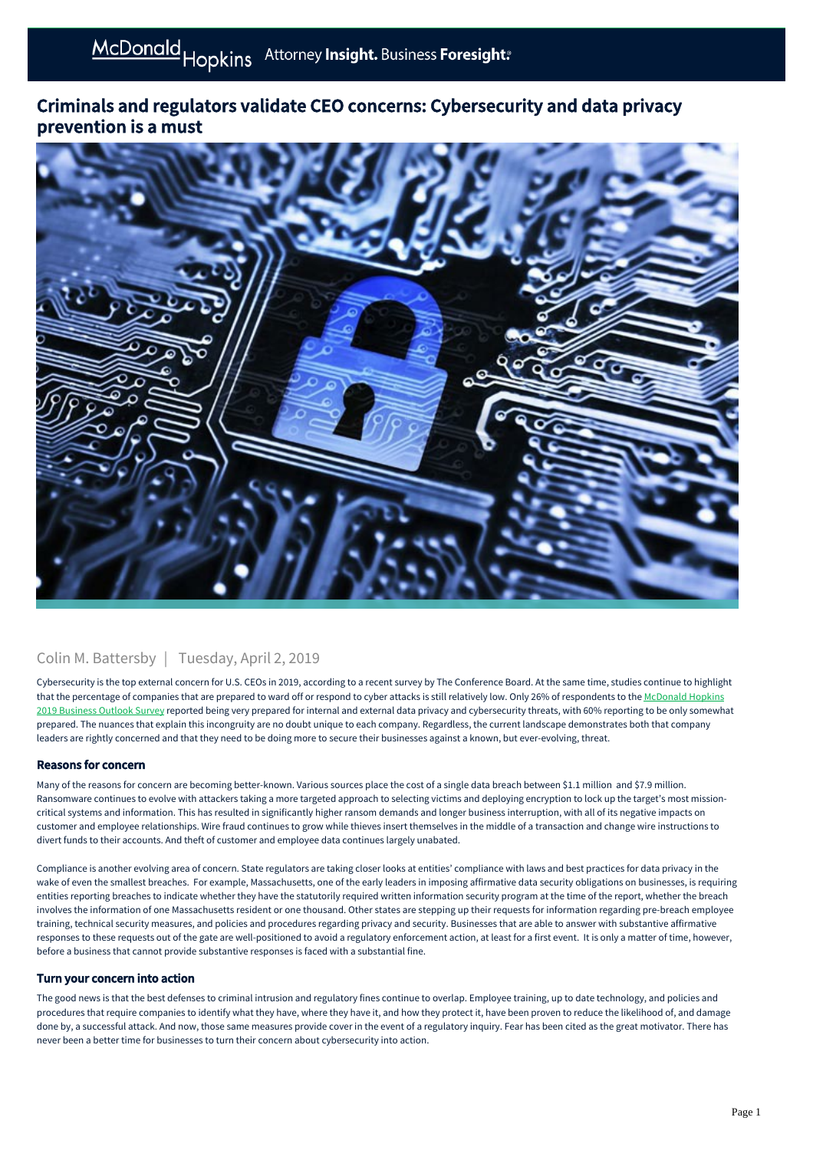# Criminals and regulators validate CEO concerns: Cybersecurity and data privacy prevention is a must



### Colin M. Battersby | Tuesday, April 2, 2019

Cybersecurity is the top external concern for U.S. CEOs in 2019, according to a recent survey by The Conference Board. At the same time, studies continue to highlight [that the percentage of companies that are prepared to ward off or respond to cyber attacks is still relatively low. Only 26% of respondents to the McDonald Hopkins](https://businessadvocate.mcdonaldhopkins.com/link.aspx?_id=2AD88A91C0B844DCA870323B5C550501&_z=z) 2019 Business Outlook Survey reported being very prepared for internal and external data privacy and cybersecurity threats, with 60% reporting to be only somewhat prepared. The nuances that explain this incongruity are no doubt unique to each company. Regardless, the current landscape demonstrates both that company leaders are rightly concerned and that they need to be doing more to secure their businesses against a known, but ever-evolving, threat.

#### Reasons for concern

Many of the reasons for concern are becoming better-known. Various sources place the cost of a single data breach between \$1.1 million and \$7.9 million. Ransomware continues to evolve with attackers taking a more targeted approach to selecting victims and deploying encryption to lock up the target's most missioncritical systems and information. This has resulted in significantly higher ransom demands and longer business interruption, with all of its negative impacts on customer and employee relationships. Wire fraud continues to grow while thieves insert themselves in the middle of a transaction and change wire instructions to divert funds to their accounts. And theft of customer and employee data continues largely unabated.

Compliance is another evolving area of concern. State regulators are taking closer looks at entities' compliance with laws and best practices for data privacy in the wake of even the smallest breaches. For example, Massachusetts, one of the early leaders in imposing affirmative data security obligations on businesses, is requiring entities reporting breaches to indicate whether they have the statutorily required written information security program at the time of the report, whether the breach involves the information of one Massachusetts resident or one thousand. Other states are stepping up their requests for information regarding pre-breach employee training, technical security measures, and policies and procedures regarding privacy and security. Businesses that are able to answer with substantive affirmative responses to these requests out of the gate are well-positioned to avoid a regulatory enforcement action, at least for a first event. It is only a matter of time, however, before a business that cannot provide substantive responses is faced with a substantial fine.

### Turn your concern into action

The good news is that the best defenses to criminal intrusion and regulatory fines continue to overlap. Employee training, up to date technology, and policies and procedures that require companies to identify what they have, where they have it, and how they protect it, have been proven to reduce the likelihood of, and damage done by, a successful attack. And now, those same measures provide cover in the event of a regulatory inquiry. Fear has been cited as the great motivator. There has never been a better time for businesses to turn their concern about cybersecurity into action.